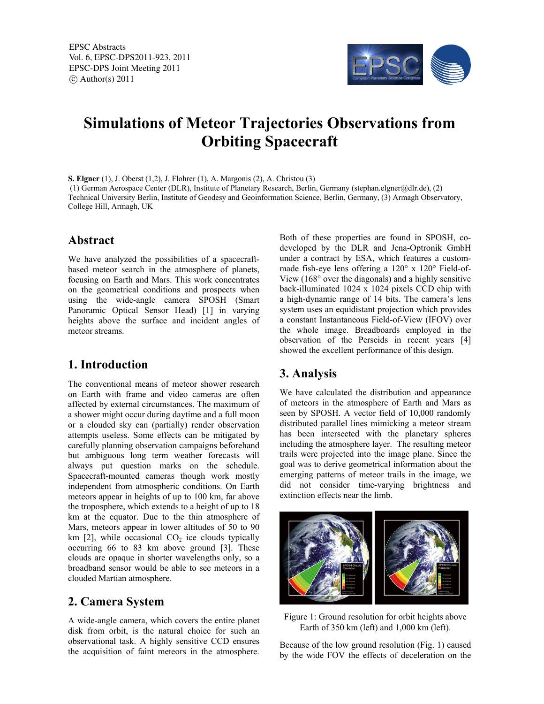EPSC Abstracts Vol. 6, EPSC-DPS2011-923, 2011 EPSC-DPS Joint Meeting 2011  $\circ$  Author(s) 2011



# **Simulations of Meteor Trajectories Observations from Orbiting Spacecraft**

**S. Elgner** (1), J. Oberst (1,2), J. Flohrer (1), A. Margonis (2), A. Christou (3) (1) German Aerospace Center (DLR), Institute of Planetary Research, Berlin, Germany (stephan.elgner@dlr.de), (2) Technical University Berlin, Institute of Geodesy and Geoinformation Science, Berlin, Germany, (3) Armagh Observatory, College Hill, Armagh, UK

#### **Abstract**

We have analyzed the possibilities of a spacecraftbased meteor search in the atmosphere of planets, focusing on Earth and Mars. This work concentrates on the geometrical conditions and prospects when using the wide-angle camera SPOSH (Smart Panoramic Optical Sensor Head) [1] in varying heights above the surface and incident angles of meteor streams.

## **1. Introduction**

The conventional means of meteor shower research on Earth with frame and video cameras are often affected by external circumstances. The maximum of a shower might occur during daytime and a full moon or a clouded sky can (partially) render observation attempts useless. Some effects can be mitigated by carefully planning observation campaigns beforehand but ambiguous long term weather forecasts will always put question marks on the schedule. Spacecraft-mounted cameras though work mostly independent from atmospheric conditions. On Earth meteors appear in heights of up to 100 km, far above the troposphere, which extends to a height of up to 18 km at the equator. Due to the thin atmosphere of Mars, meteors appear in lower altitudes of 50 to 90 km  $[2]$ , while occasional  $CO<sub>2</sub>$  ice clouds typically occurring 66 to 83 km above ground [3]. These clouds are opaque in shorter wavelengths only, so a broadband sensor would be able to see meteors in a clouded Martian atmosphere.

## **2. Camera System**

A wide-angle camera, which covers the entire planet disk from orbit, is the natural choice for such an observational task. A highly sensitive CCD ensures the acquisition of faint meteors in the atmosphere.

Both of these properties are found in SPOSH, codeveloped by the DLR and Jena-Optronik GmbH under a contract by ESA, which features a custommade fish-eye lens offering a 120° x 120° Field-of-View (168° over the diagonals) and a highly sensitive back-illuminated 1024 x 1024 pixels CCD chip with a high-dynamic range of 14 bits. The camera's lens system uses an equidistant projection which provides a constant Instantaneous Field-of-View (IFOV) over the whole image. Breadboards employed in the observation of the Perseids in recent years [4] showed the excellent performance of this design.

# **3. Analysis**

We have calculated the distribution and appearance of meteors in the atmosphere of Earth and Mars as seen by SPOSH. A vector field of 10,000 randomly distributed parallel lines mimicking a meteor stream has been intersected with the planetary spheres including the atmosphere layer. The resulting meteor trails were projected into the image plane. Since the goal was to derive geometrical information about the emerging patterns of meteor trails in the image, we did not consider time-varying brightness and extinction effects near the limb.



Figure 1: Ground resolution for orbit heights above Earth of 350 km (left) and 1,000 km (left).

Because of the low ground resolution (Fig. 1) caused by the wide FOV the effects of deceleration on the